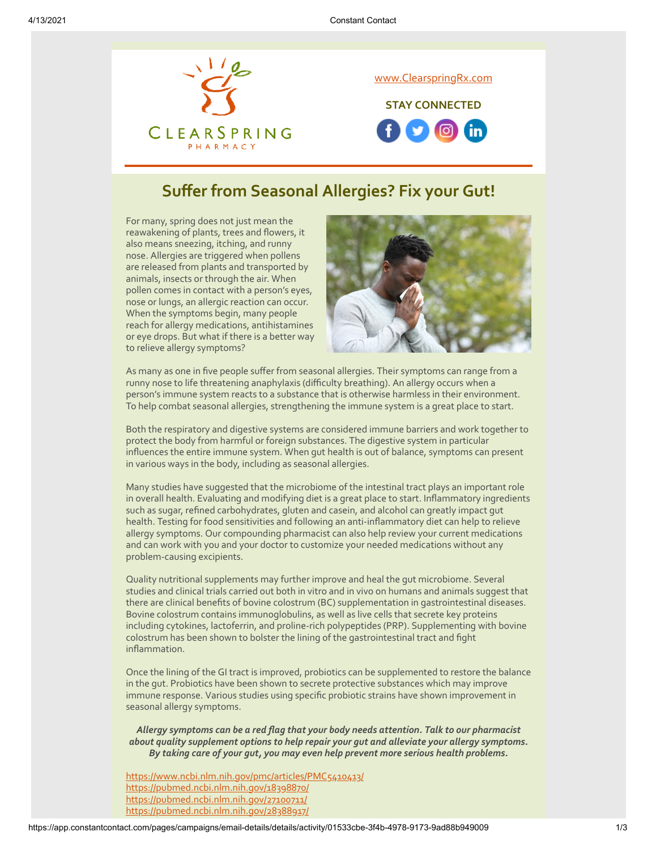

## **Suffer from Seasonal Allergies? Fix your Gut!**

For many, spring does not just mean the reawakening of plants, trees and flowers, it also means sneezing, itching, and runny nose. Allergies are triggered when pollens are released from plants and transported by animals, insects or through the air. When pollen comes in contact with a person's eyes, nose or lungs, an allergic reaction can occur. When the symptoms begin, many people reach for allergy medications, antihistamines or eye drops. But what if there is a better way to relieve allergy symptoms?



As many as one in five people suffer from seasonal allergies. Their symptoms can range from a runny nose to life threatening anaphylaxis (difficulty breathing). An allergy occurs when a person's immune system reacts to a substance that is otherwise harmless in their environment. To help combat seasonal allergies, strengthening the immune system is a great place to start.

Both the respiratory and digestive systems are considered immune barriers and work together to protect the body from harmful or foreign substances. The digestive system in particular influences the entire immune system. When gut health is out of balance, symptoms can present in various ways in the body, including as seasonal allergies.

Many studies have suggested that the microbiome of the intestinal tract plays an important role in overall health. Evaluating and modifying diet is a great place to start. Inflammatory ingredients such as sugar, refined carbohydrates, gluten and casein, and alcohol can greatly impact gut health. Testing for food sensitivities and following an anti-inflammatory diet can help to relieve allergy symptoms. Our compounding pharmacist can also help review your current medications and can work with you and your doctor to customize your needed medications without any problem-causing excipients.

Quality nutritional supplements may further improve and heal the gut microbiome. Several studies and clinical trials carried out both in vitro and in vivo on humans and animals suggest that there are clinical benefits of bovine colostrum (BC) supplementation in gastrointestinal diseases. Bovine colostrum contains immunoglobulins, as well as live cells that secrete key proteins including cytokines, lactoferrin, and proline-rich polypeptides (PRP). Supplementing with bovine colostrum has been shown to bolster the lining of the gastrointestinal tract and fight inflammation.

Once the lining of the GI tract is improved, probiotics can be supplemented to restore the balance in the gut. Probiotics have been shown to secrete protective substances which may improve immune response. Various studies using specific probiotic strains have shown improvement in seasonal allergy symptoms.

*Allergy symptoms can be a red flag that your body needs attention. Talk to our pharmacist about quality supplement options to help repair your gut and alleviate your allergy symptoms. By taking care of your gut, you may even help prevent more serious health problems.*

<https://www.ncbi.nlm.nih.gov/pmc/articles/PMC5410413/> <https://pubmed.ncbi.nlm.nih.gov/18398870/> <https://pubmed.ncbi.nlm.nih.gov/27100711/> <https://pubmed.ncbi.nlm.nih.gov/28388917/>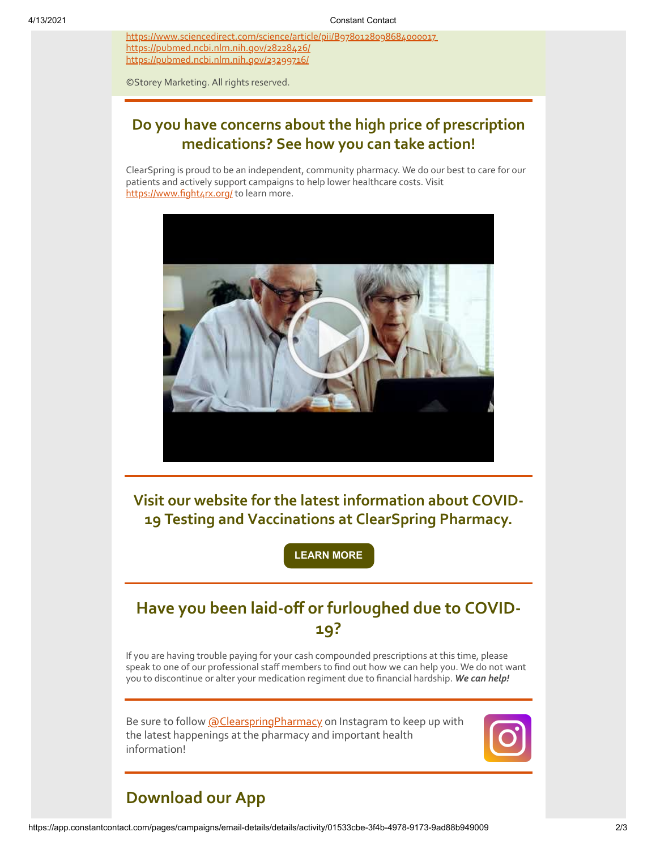<https://www.sciencedirect.com/science/article/pii/B9780128098684000017> <https://pubmed.ncbi.nlm.nih.gov/28228426/> <https://pubmed.ncbi.nlm.nih.gov/23299716/>

©Storey Marketing. All rights reserved.

#### **Do you have concerns about the high price of prescription medications? See how you can take action!**

ClearSpring is proud to be an independent, community pharmacy. We do our best to care for our patients and actively support campaigns to help lower healthcare costs. Visit <https://www.fight4rx.org/> to learn more.



**Visit our website for the latest information about COVID-19 Testing and Vaccinations at ClearSpring Pharmacy.**

**[LEARN MORE](https://clearspringrx.com/covid-19.php)**

# **Have you been laid-off or furloughed due to COVID-19?**

If you are having trouble paying for your cash compounded prescriptions at this time, please speak to one of our professional staff members to find out how we can help you. We do not want you to discontinue or alter your medication regiment due to financial hardship. *We can help!*

Be sure to follow [@ClearspringPharmacy](https://www.instagram.com/clearspringpharmacy/) on Instagram to keep up with the latest happenings at the pharmacy and important health information!



# **Download our App**